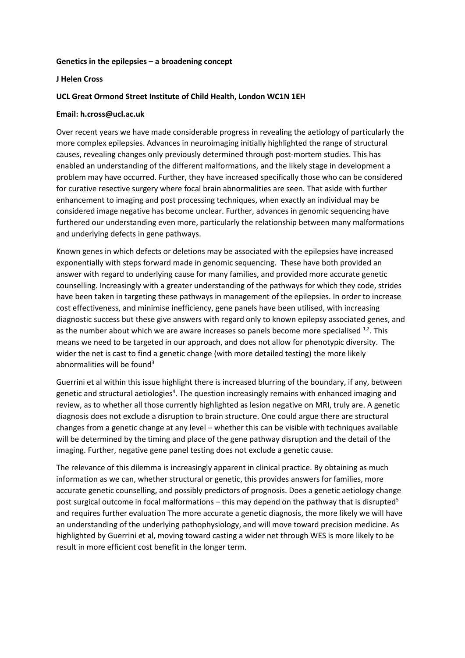## **Genetics in the epilepsies – a broadening concept**

#### **J Helen Cross**

## **UCL Great Ormond Street Institute of Child Health, London WC1N 1EH**

#### **Email: h.cross@ucl.ac.uk**

Over recent years we have made considerable progress in revealing the aetiology of particularly the more complex epilepsies. Advances in neuroimaging initially highlighted the range of structural causes, revealing changes only previously determined through post-mortem studies. This has enabled an understanding of the different malformations, and the likely stage in development a problem may have occurred. Further, they have increased specifically those who can be considered for curative resective surgery where focal brain abnormalities are seen. That aside with further enhancement to imaging and post processing techniques, when exactly an individual may be considered image negative has become unclear. Further, advances in genomic sequencing have furthered our understanding even more, particularly the relationship between many malformations and underlying defects in gene pathways.

Known genes in which defects or deletions may be associated with the epilepsies have increased exponentially with steps forward made in genomic sequencing. These have both provided an answer with regard to underlying cause for many families, and provided more accurate genetic counselling. Increasingly with a greater understanding of the pathways for which they code, strides have been taken in targeting these pathways in management of the epilepsies. In order to increase cost effectiveness, and minimise inefficiency, gene panels have been utilised, with increasing diagnostic success but these give answers with regard only to known epilepsy associated genes, and as the number about which we are aware increases so panels become more specialised  $1/2$ . This means we need to be targeted in our approach, and does not allow for phenotypic diversity. The wider the net is cast to find a genetic change (with more detailed testing) the more likely abnormalities will be found $3$ 

Guerrini et al within this issue highlight there is increased blurring of the boundary, if any, between genetic and structural aetiologies<sup>4</sup>. The question increasingly remains with enhanced imaging and review, as to whether all those currently highlighted as lesion negative on MRI, truly are. A genetic diagnosis does not exclude a disruption to brain structure. One could argue there are structural changes from a genetic change at any level – whether this can be visible with techniques available will be determined by the timing and place of the gene pathway disruption and the detail of the imaging. Further, negative gene panel testing does not exclude a genetic cause.

The relevance of this dilemma is increasingly apparent in clinical practice. By obtaining as much information as we can, whether structural or genetic, this provides answers for families, more accurate genetic counselling, and possibly predictors of prognosis. Does a genetic aetiology change post surgical outcome in focal malformations – this may depend on the pathway that is disrupted<sup>5</sup> and requires further evaluation The more accurate a genetic diagnosis, the more likely we will have an understanding of the underlying pathophysiology, and will move toward precision medicine. As highlighted by Guerrini et al, moving toward casting a wider net through WES is more likely to be result in more efficient cost benefit in the longer term.